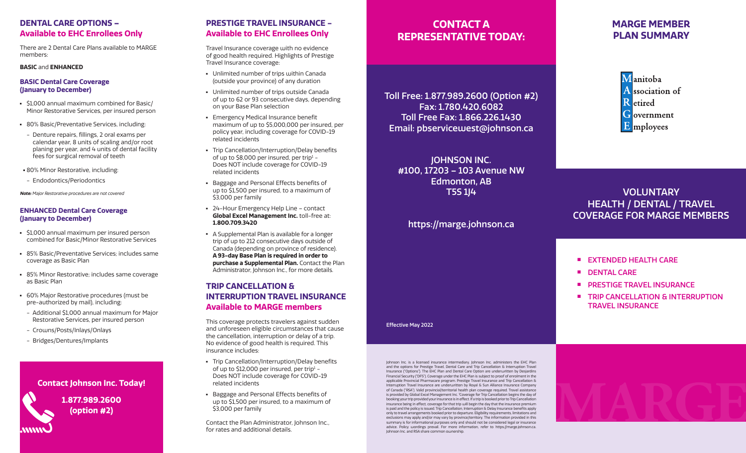## **DENTAL CARE OPTIONS – Available to EHC Enrollees Only**

There are 2 Dental Care Plans available to MARGE members:

#### **BASIC** and **ENHANCED**

### **BASIC Dental Care Coverage (January to December)**

- <sup>n</sup> \$1,000 annual maximum combined for Basic/ Minor Restorative Services, per insured person
- **80% Basic/Preventative Services, including:**
- Denture repairs, fillings, 2 oral exams per calendar year, 8 units of scaling and/or root planing per year, and 4 units of dental facility fees for surgical removal of teeth
- **-80% Minor Restorative, including:**
- Endodontics/Periodontics

**Note:** Major Restorative procedures are not covered

### **ENHANCED Dental Care Coverage (January to December)**

- <sup>n</sup> \$1,000 annual maximum per insured person combined for Basic/Minor Restorative Services
- **B5% Basic/Preventative Services; includes same** coverage as Basic Plan
- **B5% Minor Restorative; includes same coverage** as Basic Plan
- **60% Major Restorative procedures (must be** pre-authorized by mail), including:
- Additional \$1,000 annual maximum for Major Restorative Services, per insured person
- Crowns/Posts/Inlays/Onlays
- Bridges/Dentures/Implants

### **Contact Johnson Inc. Today!**

**1.877.989.2600 (option #2)**

# **PRESTIGE TRAVEL INSURANCE - Available to EHC Enrollees Only**

Travel Insurance coverage with no evidence of good health required. Highlights of Prestige Travel Insurance coverage:

- **Unlimited number of trips within Canada** (outside your province) of any duration
- **Unlimited number of trips outside Canada** of up to 62 or 93 consecutive days, depending on your Base Plan selection
- **Emergency Medical Insurance benefit** maximum of up to \$5,000,000 per insured, per policy year, including coverage for COVID-19 related incidents
- Trip Cancellation/Interruption/Delay benefits of up to \$8,000 per insured, per trip $<sup>1</sup>$  -</sup> Does NOT include coverage for COVID-19 related incidents
- **Baggage and Personal Effects benefits of** up to \$1,500 per insured, to a maximum of \$3,000 per family
- <sup>n</sup> 24-Hour Emergency Help Line contact **Global Excel Management Inc.** toll-free at: **1.800.709.3420**
- **A Supplemental Plan is available for a longer** trip of up to 212 consecutive days outside of Canada (depending on province of residence). **A 93-day Base Plan is required in order to purchase a Supplemental Plan.** Contact the Plan Administrator, Johnson Inc., for more details.

## **TRIP CANCELLATION & INTERRUPTION TRAVEL INSURANCE Available to MARGE members**

This coverage protects travelers against sudden and unforeseen eligible circumstances that cause the cancellation, interruption or delay of a trip. No evidence of good health is required. This insurance includes:

- Trip Cancellation/Interruption/Delay benefits of up to \$12,000 per insured, per trip $1 -$ Does NOT include coverage for COVID-19 related incidents
- **Baggage and Personal Effects benefits of** up to \$1,500 per insured, to a maximum of \$3,000 per family

Contact the Plan Administrator, Johnson Inc., for rates and additional details.

# **CONTACT A REPRESENTATIVE TODAY:**

Toll Free: 1.877.989.2600 (Option #2) Fax: 1.780.420.6082 Toll Free Fax: 1.866.226.1430 Email: pbservicewest@johnson.ca

JOHNSON INC. #100, 17203 – 103 Avenue NW Edmonton, AB T5S 1J4

# https://marge.johnson.ca

# **MARGE MEMBER PLAN SUMMARY**

Manitoba A ssociation of **R** etired Government E mployees

# VOLUNTARY HEALTH / DENTAL / TRAVEL COVERAGE FOR MARGE MEMBERS

- **EXTENDED HEALTH CARE**
- **n** DENTAL CARE
- **PRESTIGE TRAVEL INSURANCE**
- **E** TRIP CANCELLATION & INTERRUPTION TRAVEL INSURANCE

#### Effective May 2022

Johnson Inc. is a licensed insurance intermediary. Johnson Inc. administers the EHC Plan and the options for Prestige Travel, Dental Care and Trip Cancellation & Interruption Travel Insurance ("Options"). The EHC Plan and Dental Care Option are underwritten by Desjardins Financial Security ("DFS"). Coverage under the EHC Plan is subject to proof of enrolment in the applicable Provincial Pharmacare program. Prestige Travel Insurance and Trip Cancellation & Interruption Travel Insurance are underwritten by Royal & Sun Alliance Insurance Company of Canada ("RSA"). Valid provincial/territorial health plan coverage required. Travel assistance is provided by Global Excel Management Inc. 1 Coverage for Trip Cancellation begins the day of booking your trip provided your insurance is in effect. If a trip is booked prior to Trip Cancellation insurance being in effect, coverage for that trip will begin the day that the insurance premium is paid and the policy is issued. Trip Cancellation, Interruption & Delay Insurance benefits apply only to travel arrangements booked prior to departure. Eligibility requirements, limitations and exclusions may apply and/or may vary by province/territory. The information provided in this summary is for informational purposes only and should not be considered legal or insurance advice. Policy wordings prevail. For more information, refer to https://marge.johnson.ca. Johnson Inc. and RSA share common ownership.